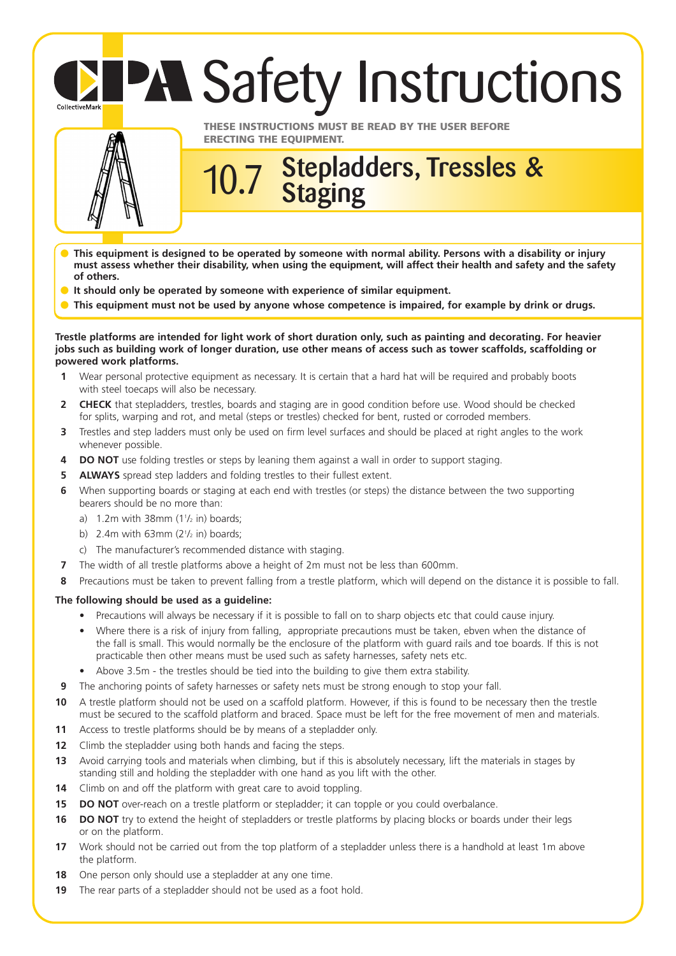## **PA Safety Instructions** CollectiveMark



**THESE INSTRUCTIONS MUST BE READ BY THE USER BEFORE ERECTING THE EQUIPMENT.**

## **Stepladders, Tressles & Staging** 10.7

- **This equipment is designed to be operated by someone with normal ability. Persons with a disability or injury must assess whether their disability, when using the equipment, will affect their health and safety and the safety of others.**
- **It should only be operated by someone with experience of similar equipment.**
- This equipment must not be used by anyone whose competence is impaired, for example by drink or drugs.

**Trestle platforms are intended for light work of short duration only, such as painting and decorating. For heavier jobs such as building work of longer duration, use other means of access such as tower scaffolds, scaffolding or powered work platforms.**

- **1** Wear personal protective equipment as necessary. It is certain that a hard hat will be required and probably boots with steel toecaps will also be necessary.
- **2 CHECK** that stepladders, trestles, boards and staging are in good condition before use. Wood should be checked for splits, warping and rot, and metal (steps or trestles) checked for bent, rusted or corroded members.
- **3** Trestles and step ladders must only be used on firm level surfaces and should be placed at right angles to the work whenever possible.
- **4 DO NOT** use folding trestles or steps by leaning them against a wall in order to support staging.
- **5 ALWAYS** spread step ladders and folding trestles to their fullest extent.
- **6** When supporting boards or staging at each end with trestles (or steps) the distance between the two supporting bearers should be no more than:
	- a)  $1.2$ m with 38mm  $(1\frac{1}{2}$  in) boards;
	- b)  $2.4$ m with 63mm ( $2\frac{1}{2}$  in) boards;
	- c) The manufacturer's recommended distance with staging.
- **7** The width of all trestle platforms above a height of 2m must not be less than 600mm.
- **8** Precautions must be taken to prevent falling from a trestle platform, which will depend on the distance it is possible to fall.

## **The following should be used as a guideline:**

- Precautions will always be necessary if it is possible to fall on to sharp objects etc that could cause injury.
- Where there is a risk of injury from falling, appropriate precautions must be taken, ebven when the distance of the fall is small. This would normally be the enclosure of the platform with guard rails and toe boards. If this is not practicable then other means must be used such as safety harnesses, safety nets etc.
- Above 3.5m the trestles should be tied into the building to give them extra stability.
- **9** The anchoring points of safety harnesses or safety nets must be strong enough to stop your fall.
- **10** A trestle platform should not be used on a scaffold platform. However, if this is found to be necessary then the trestle must be secured to the scaffold platform and braced. Space must be left for the free movement of men and materials.
- **11** Access to trestle platforms should be by means of a stepladder only.
- **12** Climb the stepladder using both hands and facing the steps.
- **13** Avoid carrying tools and materials when climbing, but if this is absolutely necessary, lift the materials in stages by standing still and holding the stepladder with one hand as you lift with the other.
- **14** Climb on and off the platform with great care to avoid toppling.
- **15 DO NOT** over-reach on a trestle platform or stepladder; it can topple or you could overbalance.
- **16 DO NOT** try to extend the height of stepladders or trestle platforms by placing blocks or boards under their legs or on the platform.
- **17** Work should not be carried out from the top platform of a stepladder unless there is a handhold at least 1m above the platform.
- **18** One person only should use a stepladder at any one time.
- **19** The rear parts of a stepladder should not be used as a foot hold.